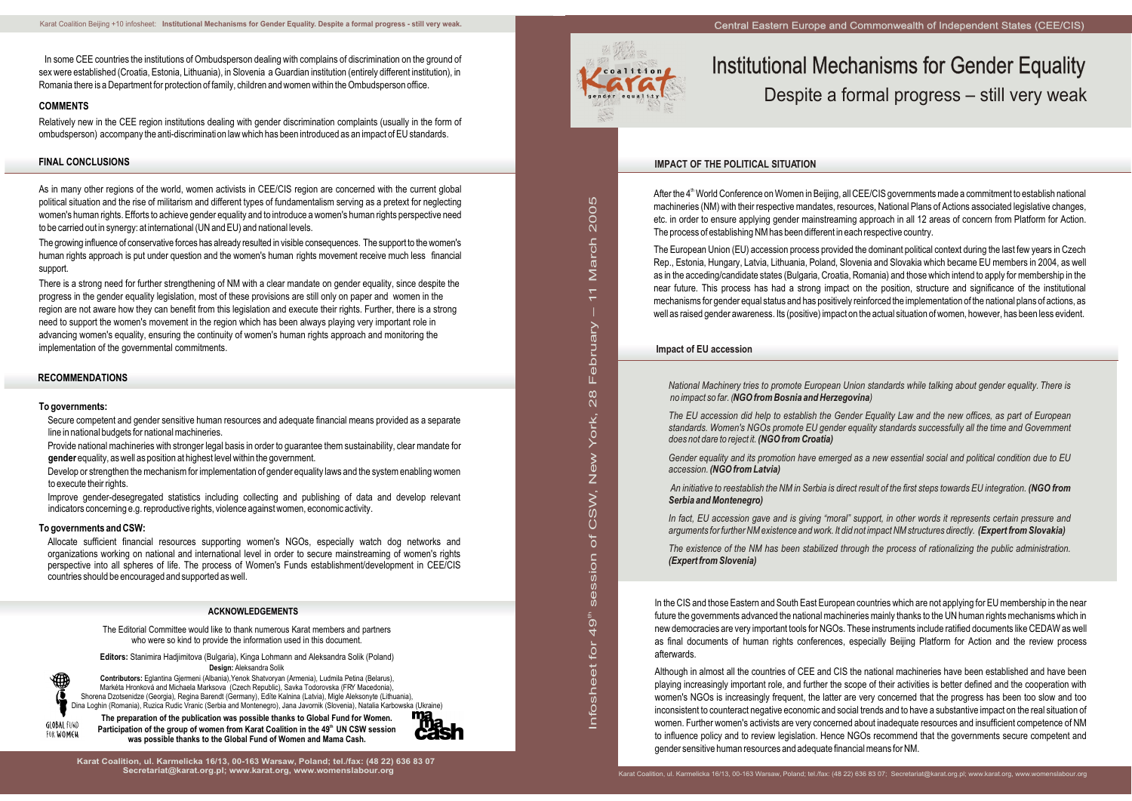in L fo s그 e

sessio  $\subset$  $\rm \delta$  $\mathsf O$ (J)

Z<br>Ś

et fo r

8<br>28 L ebru

て<br>あ

 $\frac{1}{\tau}$ 

ar c그  $\mathsf{\Omega}$  $\mathsf{\circ}$  $\circ$ လ

4 ග

ew

Yo rk, 2

# Institutional Mechanisms for Gender Equality Despite a formal progress – still very weak

# **IMPACT OF THE POLITICAL SITUATION**

After the 4<sup>th</sup> World Conference on Women in Beijing, all CEE/CIS governments made a commitment to establish national machineries (NM) with their respective mandates, resources, National Plans of Actions associated legislative changes, etc. in order to ensure applying gender mainstreaming approach in all 12 areas of concern from Platform for Action. The process of establishing NM has been different in each respective country.

The European Union (EU) accession process provided the dominant political context during the last few years in Czech Rep., Estonia, Hungary, Latvia, Lithuania, Poland, Slovenia and Slovakia which became EU members in 2004, as well as in the acceding/candidate states (Bulgaria, Croatia, Romania) and those which intend to apply for membership in the near future. This process has had a strong impact on the position, structure and significance of the institutional mechanisms for gender equal status and has positively reinforced the implementation of the national plans of actions, as well as raised gender awareness. Its (positive) impact on the actual situation of women, however, has been less evident.

*National Machinery tries to promote European Union standards while talking about gender equality. There is no impact so far. (NGO from Bosnia and Herzegovina)*

*The EU accession did help to establish the Gender Equality Law and the new offices, as part of European standards. Women's NGOs promote EU gender equality standards successfully all the time and Government does not dare to reject it. (NGO from Croatia)*

*Gender equality and its promotion have emerged as a new essential social and political condition due to EU accession. (NGO from Latvia)*

*An initiative to reestablish the NM in Serbia is direct result of the first steps towards EU integration. (NGO from Serbia and Montenegro)*

*In fact, EU accession gave and is giving "moral" support, in other words it represents certain pressure and arguments for further NM existence and work. It did not impact NM structures directly. (Expert from Slovakia)*

*The existence of the NM has been stabilized through the process of rationalizing the public administration. (Expert from Slovenia)*

#### **Impact of EU accession**

In the CIS and those Eastern and South East European countries which are not applying for EU membership in the near future the governments advanced the national machineries mainly thanks to the UN human rights mechanisms which in new democracies are very important tools for NGOs. These instruments include ratified documents like CEDAW as well as final documents of human rights conferences, especially Beijing Platform for Action and the review process afterwards.

Although in almost all the countries of CEE and CIS the national machineries have been established and have been playing increasingly important role, and further the scope of their activities is better defined and the cooperation with women's NGOs is increasingly frequent, the latter are very concerned that the progress has been too slow and too inconsistent to counteract negative economic and social trends and to have a substantive impact on the real situation of women. Further women's activists are very concerned about inadequate resources and insufficient competence of NM to influence policy and to review legislation. Hence NGOs recommend that the governments secure competent and gender sensitive human resources and adequate financial means for NM.

## **RECOMMENDATIONS**

## **FINAL CONCLUSIONS**

 In some CEE countries the institutions of Ombudsperson dealing with complains of discrimination on the ground of sex were established (Croatia, Estonia, Lithuania), in Slovenia a Guardian institution (entirely different institution), in Romania there is a Department for protection of family, children and women within the Ombudsperson office.

#### **COMMENTS**

Relatively new in the CEE region institutions dealing with gender discrimination complaints (usually in the form of ombudsperson) accompany the anti-discrimination law which has been introduced as an impact of EU standards.

As in many other regions of the world, women activists in CEE/CIS region are concerned with the current global political situation and the rise of militarism and different types of fundamentalism serving as a pretext for neglecting women's human rights. Efforts to achieve gender equality and to introduce a women's human rights perspective need to be carried out in synergy: at international (UN and EU) and national levels.

The growing influence of conservative forces has already resulted in visible consequences. The support to the women's human rights approach is put under question and the women's human rights movement receive much less financial support.

There is a strong need for further strengthening of NM with a clear mandate on gender equality, since despite the progress in the gender equality legislation, most of these provisions are still only on paper and women in the region are not aware how they can benefit from this legislation and execute their rights. Further, there is a strong need to support the women's movement in the region which has been always playing very important role in advancing women's equality, ensuring the continuity of women's human rights approach and monitoring the implementation of the governmental commitments.

#### **To governments:**

Secure competent and gender sensitive human resources and adequate financial means provided as a separate line in national budgets for national machineries.

Provide national machineries with stronger legal basis in order to guarantee them sustainability, clear mandate for **gender** equality, as well as position at highest level within the government.

Develop or strengthen the mechanism for implementation of gender equality laws and the system enabling women to execute their rights.

Improve gender-desegregated statistics including collecting and publishing of data and develop relevant indicators concerning e.g. reproductive rights, violence against women, economic activity.

#### **To governments and CSW:**

Allocate sufficient financial resources supporting women's NGOs, especially watch dog networks and organizations working on national and international level in order to secure mainstreaming of women's rights perspective into all spheres of life. The process of Women's Funds establishment/development in CEE/CIS countries should be encouraged and supported as well.

**Karat Coalition, ul. Karmelicka 16/13, 00-163 Warsaw, Poland; tel./fax: (48 22) 636 83 07**



ء<br>=

The Editorial Committee would like to thank numerous Karat members and partners who were so kind to provide the information used in this document.

**Editors:** Stanimira Hadjimitova (Bulgaria), Kinga Lohmann and Aleksandra Solik (Poland) **Design:** Aleksandra Solik



**Contributors:** Eglantina Gjermeni (Albania),Yenok Shatvoryan (Armenia), Ludmila Petina (Belarus), Markéta Hronková and Michaela Marksova (Czech Republic), Savka Todorovska (FRY Macedonia), Shorena Dzotsenidze (Georgia), Regina Barendt (Germany), Edïte Kalnina (Latvia), Migle Aleksonyte (Lithuania), Dina Loghin (Romania), Ruzica Rudic Vranic (Serbia and Montenegro), Jana Javornik (Slovenia), Natalia Karbowska (Ukraine)



**The preparation of the publication was possible thanks to Global Fund for Women.** Participation of the group of women from Karat Coalition in the 49<sup>th</sup> UN CSW session **was possible thanks to the Global Fund of Women and Mama Cash.**



#### **ACKNOWLEDGEMENTS**